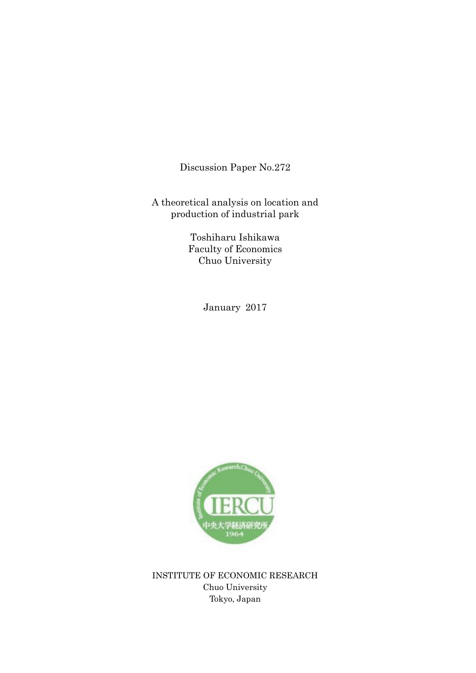Discussion Paper No.272

A theoretical analysis on location and production of industrial park

> Toshiharu Ishikawa Faculty of Economics Chuo University

> > January 2017



INSTITUTE OF ECONOMIC RESEARCH Chuo University Tokyo, Japan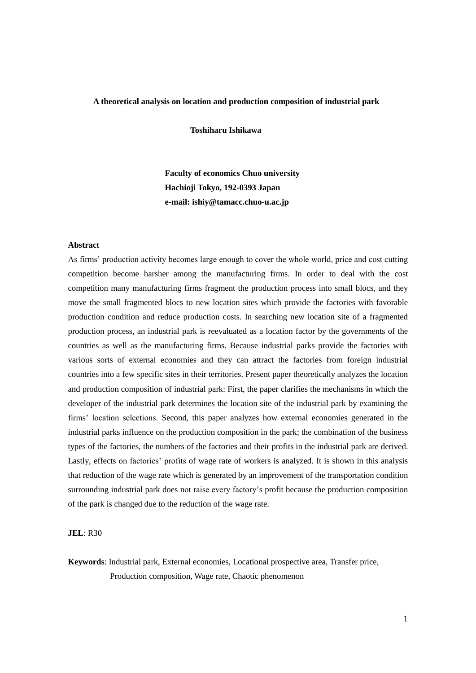### **A theoretical analysis on location and production composition of industrial park**

**Toshiharu Ishikawa** 

 **Faculty of economics Chuo university Hachioji Tokyo, 192-0393 Japan e-mail: ishiy@tamacc.chuo-u.ac.jp**

#### **Abstract**

As firms' production activity becomes large enough to cover the whole world, price and cost cutting competition become harsher among the manufacturing firms. In order to deal with the cost competition many manufacturing firms fragment the production process into small blocs, and they move the small fragmented blocs to new location sites which provide the factories with favorable production condition and reduce production costs. In searching new location site of a fragmented production process, an industrial park is reevaluated as a location factor by the governments of the countries as well as the manufacturing firms. Because industrial parks provide the factories with various sorts of external economies and they can attract the factories from foreign industrial countries into a few specific sites in their territories. Present paper theoretically analyzes the location and production composition of industrial park: First, the paper clarifies the mechanisms in which the developer of the industrial park determines the location site of the industrial park by examining the firms' location selections. Second, this paper analyzes how external economies generated in the industrial parks influence on the production composition in the park; the combination of the business types of the factories, the numbers of the factories and their profits in the industrial park are derived. Lastly, effects on factories' profits of wage rate of workers is analyzed. It is shown in this analysis that reduction of the wage rate which is generated by an improvement of the transportation condition surrounding industrial park does not raise every factory's profit because the production composition of the park is changed due to the reduction of the wage rate.

## **JEL**: R30

**Keywords**: Industrial park, External economies, Locational prospective area, Transfer price, Production composition, Wage rate, Chaotic phenomenon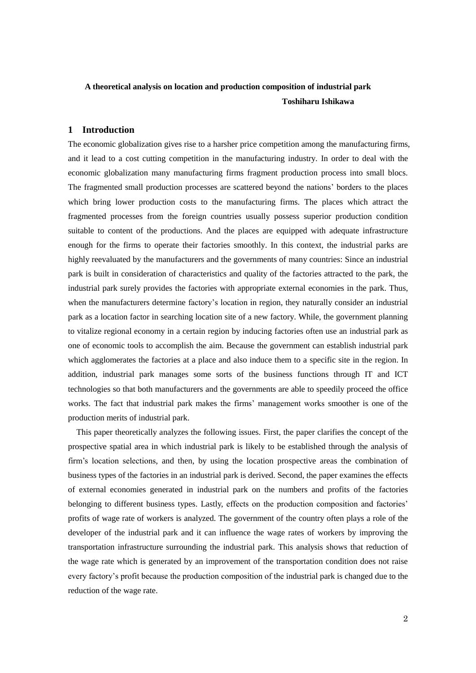# **A theoretical analysis on location and production composition of industrial park Toshiharu Ishikawa**

## **1 Introduction**

The economic globalization gives rise to a harsher price competition among the manufacturing firms, and it lead to a cost cutting competition in the manufacturing industry. In order to deal with the economic globalization many manufacturing firms fragment production process into small blocs. The fragmented small production processes are scattered beyond the nations' borders to the places which bring lower production costs to the manufacturing firms. The places which attract the fragmented processes from the foreign countries usually possess superior production condition suitable to content of the productions. And the places are equipped with adequate infrastructure enough for the firms to operate their factories smoothly. In this context, the industrial parks are highly reevaluated by the manufacturers and the governments of many countries: Since an industrial park is built in consideration of characteristics and quality of the factories attracted to the park, the industrial park surely provides the factories with appropriate external economies in the park. Thus, when the manufacturers determine factory's location in region, they naturally consider an industrial park as a location factor in searching location site of a new factory. While, the government planning to vitalize regional economy in a certain region by inducing factories often use an industrial park as one of economic tools to accomplish the aim. Because the government can establish industrial park which agglomerates the factories at a place and also induce them to a specific site in the region. In addition, industrial park manages some sorts of the business functions through IT and ICT technologies so that both manufacturers and the governments are able to speedily proceed the office works. The fact that industrial park makes the firms' management works smoother is one of the production merits of industrial park.

This paper theoretically analyzes the following issues. First, the paper clarifies the concept of the prospective spatial area in which industrial park is likely to be established through the analysis of firm's location selections, and then, by using the location prospective areas the combination of business types of the factories in an industrial park is derived. Second, the paper examines the effects of external economies generated in industrial park on the numbers and profits of the factories belonging to different business types. Lastly, effects on the production composition and factories' profits of wage rate of workers is analyzed. The government of the country often plays a role of the developer of the industrial park and it can influence the wage rates of workers by improving the transportation infrastructure surrounding the industrial park. This analysis shows that reduction of the wage rate which is generated by an improvement of the transportation condition does not raise every factory's profit because the production composition of the industrial park is changed due to the reduction of the wage rate.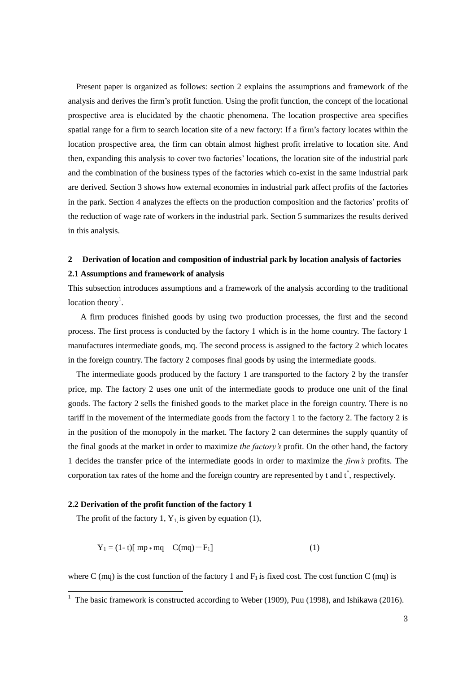Present paper is organized as follows: section 2 explains the assumptions and framework of the analysis and derives the firm's profit function. Using the profit function, the concept of the locational prospective area is elucidated by the chaotic phenomena. The location prospective area specifies spatial range for a firm to search location site of a new factory: If a firm's factory locates within the location prospective area, the firm can obtain almost highest profit irrelative to location site. And then, expanding this analysis to cover two factories' locations, the location site of the industrial park and the combination of the business types of the factories which co-exist in the same industrial park are derived. Section 3 shows how external economies in industrial park affect profits of the factories in the park. Section 4 analyzes the effects on the production composition and the factories' profits of the reduction of wage rate of workers in the industrial park. Section 5 summarizes the results derived in this analysis.

# **2 Derivation of location and composition of industrial park by location analysis of factories 2.1 Assumptions and framework of analysis**

This subsection introduces assumptions and a framework of the analysis according to the traditional  $location$  theory<sup>1</sup>.

A firm produces finished goods by using two production processes, the first and the second process. The first process is conducted by the factory 1 which is in the home country. The factory 1 manufactures intermediate goods, mq. The second process is assigned to the factory 2 which locates in the foreign country. The factory 2 composes final goods by using the intermediate goods.

The intermediate goods produced by the factory 1 are transported to the factory 2 by the transfer price, mp. The factory 2 uses one unit of the intermediate goods to produce one unit of the final goods. The factory 2 sells the finished goods to the market place in the foreign country. There is no tariff in the movement of the intermediate goods from the factory 1 to the factory 2. The factory 2 is in the position of the monopoly in the market. The factory 2 can determines the supply quantity of the final goods at the market in order to maximize *the factory's* profit. On the other hand, the factory 1 decides the transfer price of the intermediate goods in order to maximize the *firm's* profits. The corporation tax rates of the home and the foreign country are represented by t and  $t^*$ , respectively.

### **2.2 Derivation of the profit function of the factory 1**

The profit of the factory 1,  $Y_1$  is given by equation (1),

$$
Y_1 = (1 - t)[mp * mq - C(mq) - F_1]
$$
 (1)

where C (mq) is the cost function of the factory 1 and  $F_1$  is fixed cost. The cost function C (mq) is

The basic framework is constructed according to Weber (1909), Puu (1998), and Ishikawa (2016).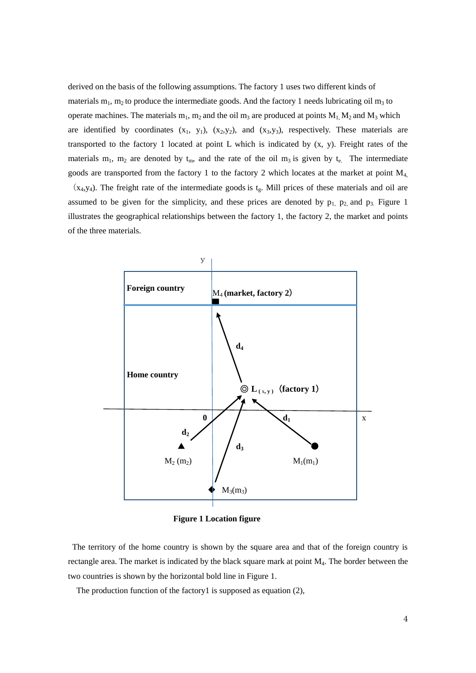derived on the basis of the following assumptions. The factory 1 uses two different kinds of materials  $m_1$ ,  $m_2$  to produce the intermediate goods. And the factory 1 needs lubricating oil  $m_3$  to operate machines. The materials  $m_1$ ,  $m_2$  and the oil  $m_3$  are produced at points  $M_1$ ,  $M_2$  and  $M_3$  which are identified by coordinates  $(x_1, y_1)$ ,  $(x_2,y_2)$ , and  $(x_3,y_3)$ , respectively. These materials are transported to the factory 1 located at point L which is indicated by (x, y). Freight rates of the materials  $m_1$ ,  $m_2$  are denoted by  $t_m$ , and the rate of the oil  $m_3$  is given by  $t_e$ . The intermediate goods are transported from the factory 1 to the factory 2 which locates at the market at point  $M<sub>4</sub>$ ,  $(x_4,y_4)$ . The freight rate of the intermediate goods is  $t_g$ . Mill prices of these materials and oil are

assumed to be given for the simplicity, and these prices are denoted by  $p_1$ ,  $p_2$ , and  $p_3$ . Figure 1 illustrates the geographical relationships between the factory 1, the factory 2, the market and points of the three materials.



**Figure 1 Location figure** 

The territory of the home country is shown by the square area and that of the foreign country is rectangle area. The market is indicated by the black square mark at point M<sub>4</sub>. The border between the two countries is shown by the horizontal bold line in Figure 1.

The production function of the factory1 is supposed as equation (2),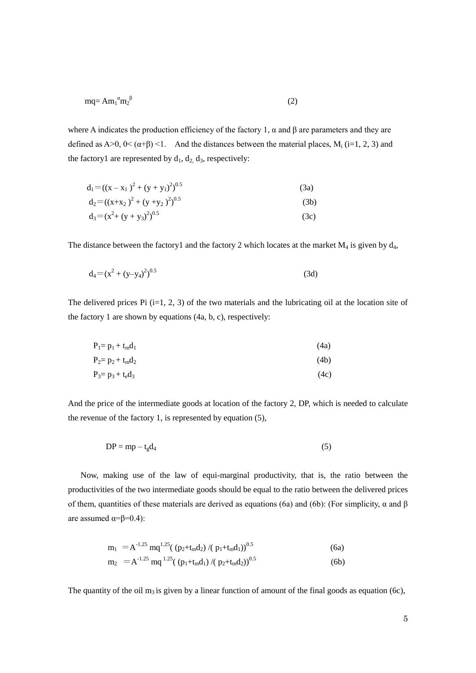$$
mq = Am_1^{\alpha}m_2^{\beta} \tag{2}
$$

where A indicates the production efficiency of the factory 1,  $\alpha$  and  $\beta$  are parameters and they are defined as A>0, 0<  $(\alpha+\beta)$  <1. And the distances between the material places, M<sub>i</sub> (i=1, 2, 3) and the factory1 are represented by  $d_1$ ,  $d_2$ ,  $d_3$ , respectively:

$$
d_1 = ((x - x_1)^2 + (y + y_1)^2)^{0.5}
$$
 (3a)

$$
d_2 = ((x+x_2)^2 + (y+y_2)^2)^{0.5}
$$
 (3b)

$$
d_3 = (x^2 + (y + y_3)^2)^{0.5}
$$
 (3c)

The distance between the factory1 and the factory 2 which locates at the market  $M_4$  is given by  $d_4$ ,

$$
d_4 = (x^2 + (y - y_4)^2)^{0.5}
$$
 (3d)

The delivered prices Pi  $(i=1, 2, 3)$  of the two materials and the lubricating oil at the location site of the factory 1 are shown by equations (4a, b, c), respectively:

| $P_1 = p_1 + t_m d_1$ | (4a) |
|-----------------------|------|
| $P_2 = p_2 + t_m d_2$ | (4b) |
| $P_3 = p_3 + t_e d_3$ | (4c) |

And the price of the intermediate goods at location of the factory 2, DP, which is needed to calculate the revenue of the factory 1, is represented by equation (5),

$$
DP = mp - t_g d_4 \tag{5}
$$

Now, making use of the law of equi-marginal productivity, that is, the ratio between the productivities of the two intermediate goods should be equal to the ratio between the delivered prices of them, quantities of these materials are derived as equations (6a) and (6b): (For simplicity,  $\alpha$  and β are assumed  $α=β=0.4$ ):

$$
m_1 = A^{-1.25} \text{mq}^{1.25} \left( (p_2 + t_m d_2) / (p_1 + t_m d_1) \right)^{0.5}
$$
\n
$$
m_2 = A^{-1.25} \text{mq}^{1.25} \left( (p_1 + t_m d_1) / (p_2 + t_m d_2) \right)^{0.5}
$$
\n
$$
(6b)
$$

The quantity of the oil m<sub>3</sub> is given by a linear function of amount of the final goods as equation (6c),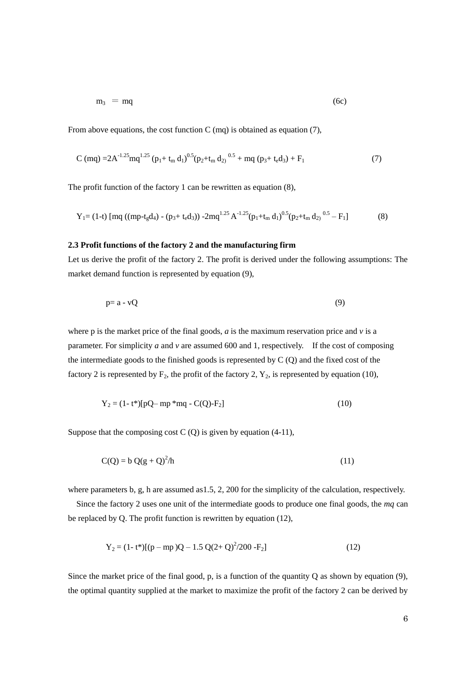$$
m_3 = mq \tag{6c}
$$

From above equations, the cost function C (mq) is obtained as equation (7).

$$
C (mq) = 2A^{-1.25}mq^{1.25} (p_1 + t_m d_1)^{0.5} (p_2 + t_m d_2)^{0.5} + mq (p_3 + t_e d_3) + F_1
$$
 (7)

The profit function of the factory 1 can be rewritten as equation (8),

$$
Y_1 = (1-t) [mq ((mp-tgd4) - (p3+ted3)) - 2mq1.25 A-1.25(p1+tmd1)0.5(p2+tmd2)0.5 - F1]
$$
 (8)

#### **2.3 Profit functions of the factory 2 and the manufacturing firm**

Let us derive the profit of the factory 2. The profit is derived under the following assumptions: The market demand function is represented by equation (9),

$$
p = a - vQ \tag{9}
$$

where p is the market price of the final goods,  $a$  is the maximum reservation price and  $v$  is a parameter. For simplicity *a* and *v* are assumed 600 and 1, respectively. If the cost of composing the intermediate goods to the finished goods is represented by  $C(Q)$  and the fixed cost of the factory 2 is represented by  $F_2$ , the profit of the factory 2,  $Y_2$ , is represented by equation (10),

$$
Y_2 = (1 - t^*)[pQ - mp *mq - C(Q) - F_2]
$$
\n(10)

Suppose that the composing cost  $C(Q)$  is given by equation (4-11),

$$
C(Q) = b Q(g + Q)^2/h
$$
\n(11)

where parameters b, g, h are assumed as 1.5, 2, 200 for the simplicity of the calculation, respectively.

Since the factory 2 uses one unit of the intermediate goods to produce one final goods, the *mq* can be replaced by Q. The profit function is rewritten by equation (12),

$$
Y_2 = (1 - t^*)[(p - mp)Q - 1.5 Q(2 + Q)^2/200 - F_2]
$$
\n(12)

Since the market price of the final good, p, is a function of the quantity Q as shown by equation  $(9)$ , the optimal quantity supplied at the market to maximize the profit of the factory 2 can be derived by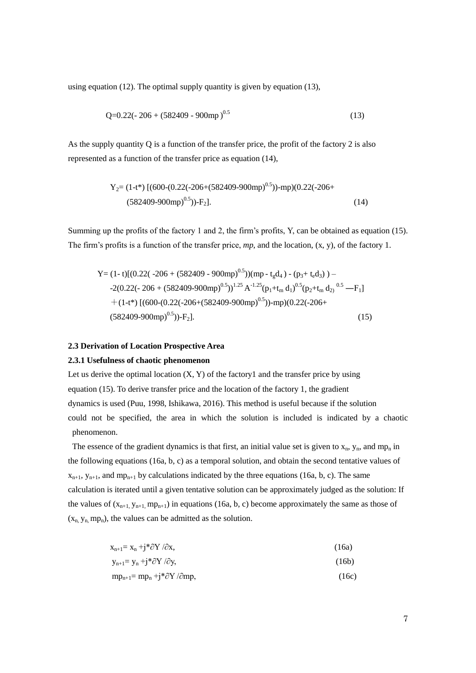using equation (12). The optimal supply quantity is given by equation (13),

$$
Q=0.22(-206 + (582409 - 900mp)^{0.5})
$$
\n(13)

As the supply quantity Q is a function of the transfer price, the profit of the factory 2 is also represented as a function of the transfer price as equation (14),

$$
Y_2 = (1-t^*) [(600-(0.22(-206+(582409-900mp)^{0.5}))-mp)(0.22(-206+ (582409-900mp)^{0.5}))-F_2].
$$
\n(14)

Summing up the profits of the factory 1 and 2, the firm's profits, Y, can be obtained as equation (15). The firm's profits is a function of the transfer price, *mp*, and the location, (x, y), of the factory 1.

Y= (1- t)[(0.22( -206 + (582409 - 900mp)0.5))(mp - tgd4 ) - (p3+ ted3) ) – -2(0.22(- 206 + (582409-900mp)0.5))1.25 A -1.25(p1+t<sup>m</sup> d1) 0.5(p2+t<sup>m</sup> d2) 0.5 ―F1] +(1-t\*) [(600-(0.22(-206+(582409-900mp)0.5))-mp)(0.22(-206+ (582409-900mp)0.5))-F2]. (15)

### **2.3 Derivation of Location Prospective Area**

#### **2.3.1 Usefulness of chaotic phenomenon**

Let us derive the optimal location  $(X, Y)$  of the factory1 and the transfer price by using equation (15). To derive transfer price and the location of the factory 1, the gradient dynamics is used (Puu, 1998, Ishikawa, 2016). This method is useful because if the solution could not be specified, the area in which the solution is included is indicated by a chaotic phenomenon.

The essence of the gradient dynamics is that first, an initial value set is given to  $x_n$ ,  $y_n$ , and mp<sub>n</sub> in the following equations (16a, b, c) as a temporal solution, and obtain the second tentative values of  $x_{n+1}$ ,  $y_{n+1}$ , and mp<sub>n+1</sub> by calculations indicated by the three equations (16a, b, c). The same calculation is iterated until a given tentative solution can be approximately judged as the solution: If the values of  $(x_{n+1}, y_{n+1}, mp_{n+1})$  in equations (16a, b, c) become approximately the same as those of  $(x_n, y_n, mp_n)$ , the values can be admitted as the solution.

$$
x_{n+1} = x_n + j^* \partial Y / \partial x, \qquad (16a)
$$

$$
y_{n+1} = y_n + j^* \partial Y / \partial y,
$$
 (16b)

 $mp_{n+1} = mp_n + j * \partial Y / \partial mp$ , (16c)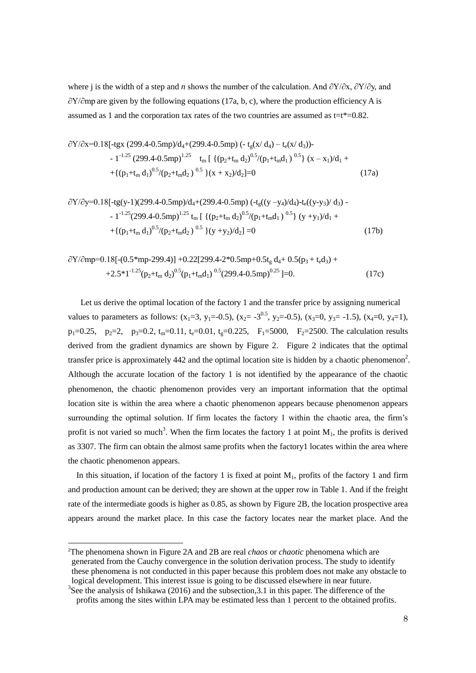where j is the width of a step and *n* shows the number of the calculation. And ∂Y/∂x, ∂Y/∂y, and  $\partial$ Y/∂mp are given by the following equations (17a, b, c), where the production efficiency A is assumed as 1 and the corporation tax rates of the two countries are assumed as  $t=t^*=0.82$ .

$$
\frac{\partial Y}{\partial x} = 0.18[-tgx (299.4-0.5mp)/d_4 + (299.4-0.5mp) (-t_g(x/d_4) - t_e(x/d_3)) -1^{-1.25} (299.4-0.5mp)^{1.25} t_m [ {(p_2+t_m d_2)^{0.5}/(p_1+t_m d_1)^{0.5}} (x-x_1)/d_1 ++ { (p_1+t_m d_1)^{0.5}/(p_2+t_m d_2)^{0.5}} (x+x_2)/d_2]=0
$$
\n(17a)

$$
\frac{\partial Y}{\partial y} = 0.18[-tg(y-1)(299.4-0.5mp)/d_4 + (299.4-0.5mp) (-t_g((y-y_4)/d_4) - t_e((y-y_3)/d_3) - 1]^{-1.25}(299.4-0.5mp)^{1.25} t_m [\{(p_2+t_m d_2)^{0.5}/(p_1+t_m d_1)^{0.5}\} (y+y_1)/d_1 + 1 + \{(p_1+t_m d_1)^{0.5}/(p_2+t_m d_2)^{0.5}\} (y+y_2)/d_2] = 0 \tag{17b}
$$

$$
\frac{\partial Y}{\partial mp} = 0.18[-(0.5*mp-299.4)] + 0.22[299.4-2*0.5mp+0.5t_g d_4 + 0.5(p_3 + t_e d_3) ++2.5*1^{-1.25}(p_2+t_m d_2)^{0.5}(p_1+t_m d_1)^{-0.5}(299.4-0.5mp)^{0.25}] = 0.
$$
\n(17c)

Let us derive the optimal location of the factory 1 and the transfer price by assigning numerical values to parameters as follows:  $(x_1=3, y_1=-0.5)$ ,  $(x_2=-3^{0.5}, y_2=-0.5)$ ,  $(x_3=0, y_3=-1.5)$ ,  $(x_4=0, y_4=1)$ ,  $p_1=0.25$ ,  $p_2=2$ ,  $p_3=0.2$ ,  $t_m=0.11$ ,  $t_e=0.01$ ,  $t_e=0.225$ ,  $F_1=5000$ ,  $F_2=2500$ . The calculation results derived from the gradient dynamics are shown by Figure 2. Figure 2 indicates that the optimal transfer price is approximately 442 and the optimal location site is hidden by a chaotic phenomenon<sup>2</sup>. Although the accurate location of the factory 1 is not identified by the appearance of the chaotic phenomenon, the chaotic phenomenon provides very an important information that the optimal location site is within the area where a chaotic phenomenon appears because phenomenon appears surrounding the optimal solution. If firm locates the factory 1 within the chaotic area, the firm's profit is not varied so much<sup>3</sup>. When the firm locates the factory 1 at point  $M_1$ , the profits is derived as 3307. The firm can obtain the almost same profits when the factory1 locates within the area where the chaotic phenomenon appears.

In this situation, if location of the factory 1 is fixed at point  $M_1$ , profits of the factory 1 and firm and production amount can be derived; they are shown at the upper row in Table 1. And if the freight rate of the intermediate goods is higher as 0.85, as shown by Figure 2B, the location prospective area appears around the market place. In this case the factory locates near the market place. And the

-

<sup>2</sup>The phenomena shown in Figure 2A and 2B are real *chaos* or *chaotic* phenomena which are generated from the Cauchy convergence in the solution derivation process. The study to identify these phenomena is not conducted in this paper because this problem does not make any obstacle to logical development. This interest issue is going to be discussed elsewhere in near future.

<sup>&</sup>lt;sup>3</sup>See the analysis of Ishikawa (2016) and the subsection, 3.1 in this paper. The difference of the profits among the sites within LPA may be estimated less than 1 percent to the obtained profits.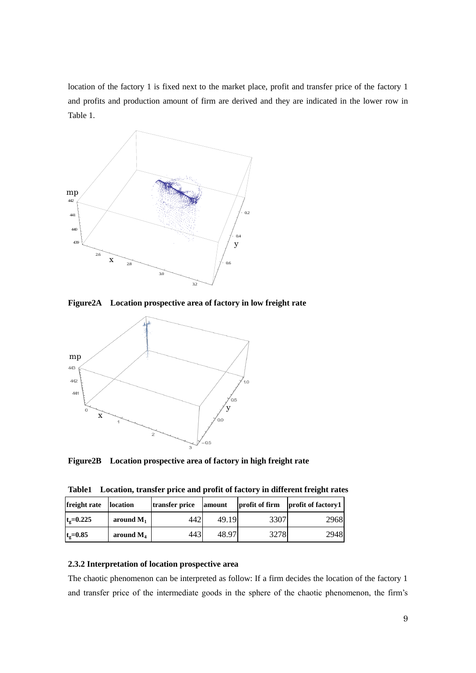location of the factory 1 is fixed next to the market place, profit and transfer price of the factory 1 and profits and production amount of firm are derived and they are indicated in the lower row in Table 1.



**Figure2A Location prospective area of factory in low freight rate**



**Figure2B Location prospective area of factory in high freight rate**

**Table1 Location, transfer price and profit of factory in different freight rates**

| freight rate      | <b>location</b> |      | profit of firm<br>transfer price<br>amount |      | profit of factory1 |  |
|-------------------|-----------------|------|--------------------------------------------|------|--------------------|--|
| $t_{\rm g}=0.225$ | around $M_1$    | 442  | 49.19                                      | 3307 | 2968               |  |
| $t_{\rm g}=0.85$  | around $M_4$    | 4431 | 48.97                                      | 3278 | 2948               |  |

# **2.3.2 Interpretation of location prospective area**

The chaotic phenomenon can be interpreted as follow: If a firm decides the location of the factory 1 and transfer price of the intermediate goods in the sphere of the chaotic phenomenon, the firm's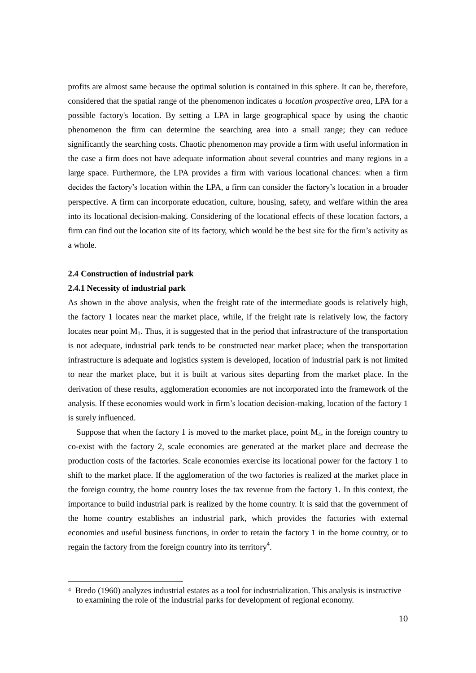profits are almost same because the optimal solution is contained in this sphere. It can be, therefore, considered that the spatial range of the phenomenon indicates *a location prospective area*, LPA for a possible factory's location. By setting a LPA in large geographical space by using the chaotic phenomenon the firm can determine the searching area into a small range; they can reduce significantly the searching costs. Chaotic phenomenon may provide a firm with useful information in the case a firm does not have adequate information about several countries and many regions in a large space. Furthermore, the LPA provides a firm with various locational chances: when a firm decides the factory's location within the LPA, a firm can consider the factory's location in a broader perspective. A firm can incorporate education, culture, housing, safety, and welfare within the area into its locational decision-making. Considering of the locational effects of these location factors, a firm can find out the location site of its factory, which would be the best site for the firm's activity as a whole.

#### **2.4 Construction of industrial park**

#### **2.4.1 Necessity of industrial park**

 $\overline{\phantom{a}}$ 

As shown in the above analysis, when the freight rate of the intermediate goods is relatively high, the factory 1 locates near the market place, while, if the freight rate is relatively low, the factory locates near point  $M_1$ . Thus, it is suggested that in the period that infrastructure of the transportation is not adequate, industrial park tends to be constructed near market place; when the transportation infrastructure is adequate and logistics system is developed, location of industrial park is not limited to near the market place, but it is built at various sites departing from the market place. In the derivation of these results, agglomeration economies are not incorporated into the framework of the analysis. If these economies would work in firm's location decision-making, location of the factory 1 is surely influenced.

Suppose that when the factory 1 is moved to the market place, point  $M<sub>4</sub>$ , in the foreign country to co-exist with the factory 2, scale economies are generated at the market place and decrease the production costs of the factories. Scale economies exercise its locational power for the factory 1 to shift to the market place. If the agglomeration of the two factories is realized at the market place in the foreign country, the home country loses the tax revenue from the factory 1. In this context, the importance to build industrial park is realized by the home country. It is said that the government of the home country establishes an industrial park, which provides the factories with external economies and useful business functions, in order to retain the factory 1 in the home country, or to regain the factory from the foreign country into its territory<sup>4</sup>.

<sup>4</sup> Bredo (1960) analyzes industrial estates as a tool for industrialization. This analysis is instructive to examining the role of the industrial parks for development of regional economy.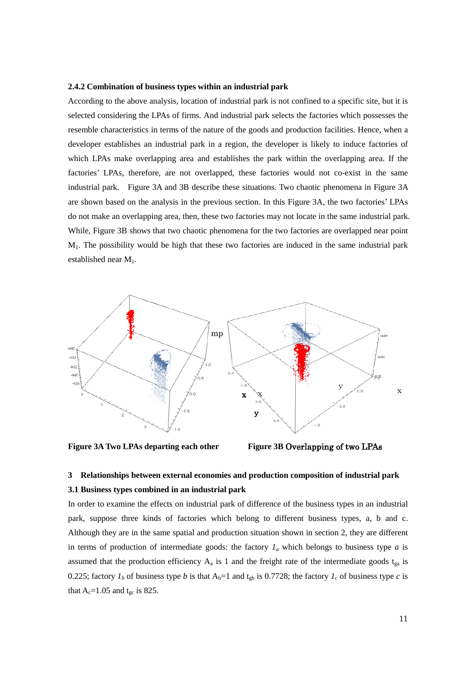#### **2.4.2 Combination of business types within an industrial park**

According to the above analysis, location of industrial park is not confined to a specific site, but it is selected considering the LPAs of firms. And industrial park selects the factories which possesses the resemble characteristics in terms of the nature of the goods and production facilities. Hence, when a developer establishes an industrial park in a region, the developer is likely to induce factories of which LPAs make overlapping area and establishes the park within the overlapping area. If the factories' LPAs, therefore, are not overlapped, these factories would not co-exist in the same industrial park. Figure 3A and 3B describe these situations. Two chaotic phenomena in Figure 3A are shown based on the analysis in the previous section. In this Figure 3A, the two factories' LPAs do not make an overlapping area, then, these two factories may not locate in the same industrial park. While, Figure 3B shows that two chaotic phenomena for the two factories are overlapped near point M1. The possibility would be high that these two factories are induced in the same industrial park established near M<sub>1</sub>.



**Figure 3A Two LPAs departing each other Figure 3B** Overlapping of two LPAs



# **3 Relationships between external economies and production composition of industrial park 3.1 Business types combined in an industrial park**

In order to examine the effects on industrial park of difference of the business types in an industrial park, suppose three kinds of factories which belong to different business types, a, b and c. Although they are in the same spatial and production situation shown in section 2, they are different in terms of production of intermediate goods: the factory  $I_a$  which belongs to business type  $a$  is assumed that the production efficiency  $A_a$  is 1 and the freight rate of the intermediate goods  $t_{ga}$  is 0.225; factory  $I_b$  of business type *b* is that  $A_b=1$  and  $t_{gb}$  is 0.7728; the factory  $I_c$  of business type *c* is that  $A_c=1.05$  and t<sub>gc</sub> is 825.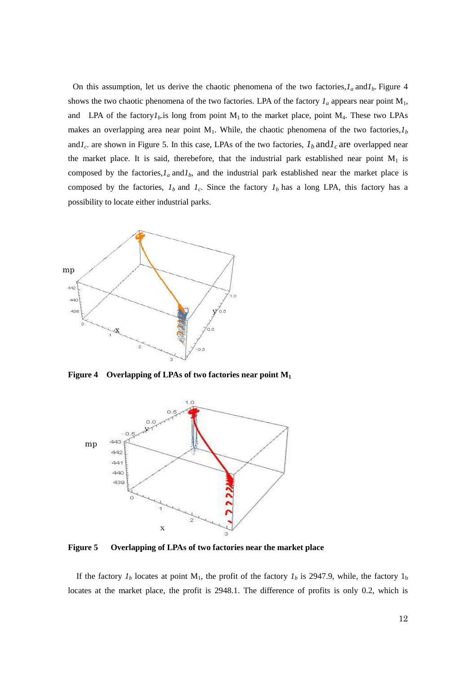On this assumption, let us derive the chaotic phenomena of the two factories, $I_a$  and  $I_b$ . Figure 4 shows the two chaotic phenomena of the two factories. LPA of the factory  $I_a$  appears near point  $M_1$ , and LPA of the factory $I<sub>b</sub>$ .is long from point M<sub>1</sub> to the market place, point M<sub>4</sub>. These two LPAs makes an overlapping area near point  $M_1$ . While, the chaotic phenomena of the two factories, $I_b$ and $I_c$  are shown in Figure 5. In this case, LPAs of the two factories,  $I_b$  and  $I_c$  are overlapped near the market place. It is said, therebefore, that the industrial park established near point  $M_1$  is composed by the factories,  $I_a$  and  $I_b$ , and the industrial park established near the market place is composed by the factories,  $I_b$  and  $I_c$ . Since the factory  $I_b$  has a long LPA, this factory has a possibility to locate either industrial parks.



**Figure 4 Overlapping of LPAs of two factories near point M<sup>1</sup>**



**Figure 5 Overlapping of LPAs of two factories near the market place**

If the factory  $I_b$  locates at point M<sub>1</sub>, the profit of the factory  $I_b$  is 2947.9, while, the factory  $I_b$ locates at the market place, the profit is 2948.1. The difference of profits is only 0.2, which is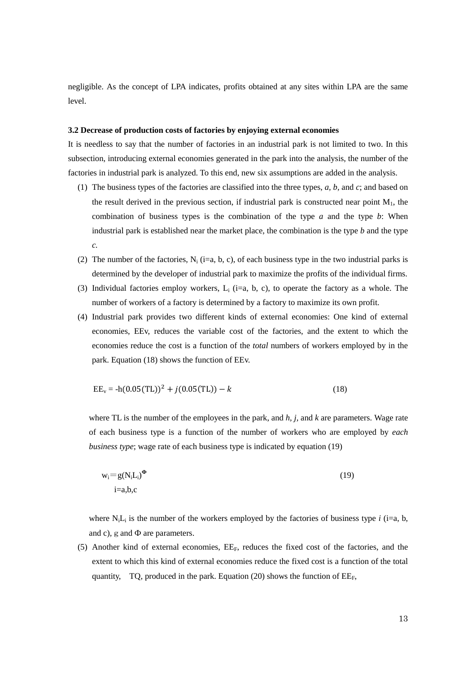negligible. As the concept of LPA indicates, profits obtained at any sites within LPA are the same level.

### **3.2 Decrease of production costs of factories by enjoying external economies**

It is needless to say that the number of factories in an industrial park is not limited to two. In this subsection, introducing external economies generated in the park into the analysis, the number of the factories in industrial park is analyzed. To this end, new six assumptions are added in the analysis.

- (1) The business types of the factories are classified into the three types, *a, b,* and *c*; and based on the result derived in the previous section, if industrial park is constructed near point  $M_1$ , the combination of business types is the combination of the type *a* and the type *b*: When industrial park is established near the market place, the combination is the type *b* and the type *c.*
- (2) The number of the factories,  $N_i$  (i=a, b, c), of each business type in the two industrial parks is determined by the developer of industrial park to maximize the profits of the individual firms.
- (3) Individual factories employ workers,  $L_i$  (i=a, b, c), to operate the factory as a whole. The number of workers of a factory is determined by a factory to maximize its own profit.
- (4) Industrial park provides two different kinds of external economies: One kind of external economies, EEv, reduces the variable cost of the factories, and the extent to which the economies reduce the cost is a function of the *total* numbers of workers employed by in the park. Equation (18) shows the function of EEv.

$$
EE_v = -h(0.05(TL))^2 + j(0.05(TL)) - k
$$
\n(18)

where TL is the number of the employees in the park, and *h, j,* and *k* are parameters. Wage rate of each business type is a function of the number of workers who are employed by *each business type*; wage rate of each business type is indicated by equation (19)

$$
w_i = g(N_i L_i)^{\Phi}
$$
  
i=a,b,c (19)

where  $N_iL_i$  is the number of the workers employed by the factories of business type *i* (i=a, b, and c),  $g$  and  $\Phi$  are parameters.

(5) Another kind of external economies, EEF, reduces the fixed cost of the factories, and the extent to which this kind of external economies reduce the fixed cost is a function of the total quantity, TQ, produced in the park. Equation (20) shows the function of  $EE_F$ ,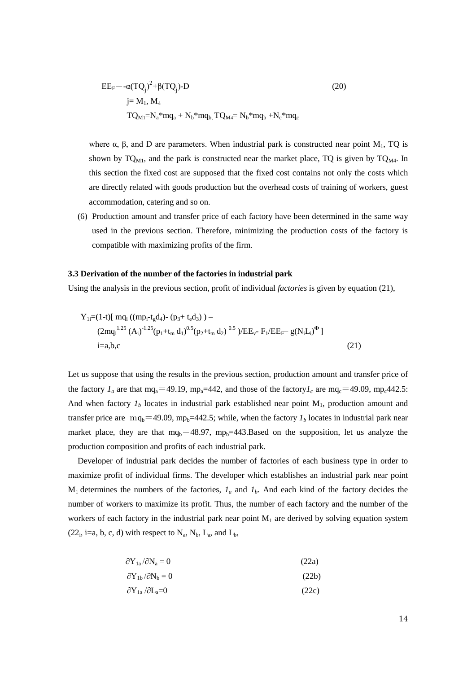$$
EEF = -α(TQj)2 + β(TQj) - D
$$
  
\n
$$
j = M1, M4
$$
  
\n
$$
TQM1 = Na * mqa + Nb * mqb, TQM4 = Nb * mqb + Nc * mqc
$$
 (20)

where  $\alpha$ ,  $\beta$ , and D are parameters. When industrial park is constructed near point M<sub>1</sub>, TQ is shown by  $TQ_{M1}$ , and the park is constructed near the market place, TQ is given by  $TQ_{M4}$ . In this section the fixed cost are supposed that the fixed cost contains not only the costs which are directly related with goods production but the overhead costs of training of workers, guest accommodation, catering and so on.

(6) Production amount and transfer price of each factory have been determined in the same way used in the previous section. Therefore, minimizing the production costs of the factory is compatible with maximizing profits of the firm.

#### **3.3 Derivation of the number of the factories in industrial park**

Using the analysis in the previous section, profit of individual *factories* is given by equation (21),

$$
Y_{1i} = (1-t)[\text{mq}_{i}((\text{mp}_{i} - t_{g}d_{4}) - (p_{3} + t_{e}d_{3})) - (2\text{mq}_{i}^{1.25} (A_{i})^{-1.25} (p_{1} + t_{m} d_{1})^{0.5} (p_{2} + t_{m} d_{2})^{-0.5})/EE_{v} - F_{1}/EE_{F} - g(N_{i}L_{i})^{\Phi}]
$$
  
i=a,b,c (21)

Let us suppose that using the results in the previous section, production amount and transfer price of the factory  $I_a$  are that mq<sub>a</sub>=49.19, mp<sub>a</sub>=442, and those of the factory $I_c$  are mq<sub>c</sub>=49.09, mp<sub>c</sub>442.5: And when factory  $I_b$  locates in industrial park established near point  $M_1$ , production amount and transfer price are mq<sub>b</sub>=49.09, mp<sub>b</sub>=442.5; while, when the factory  $I<sub>b</sub>$  locates in industrial park near market place, they are that  $mq_b=48.97$ ,  $mp_b=443.Based$  on the supposition, let us analyze the production composition and profits of each industrial park.

Developer of industrial park decides the number of factories of each business type in order to maximize profit of individual firms. The developer which establishes an industrial park near point  $M_1$  determines the numbers of the factories,  $I_a$  and  $I_b$ . And each kind of the factory decides the number of workers to maximize its profit. Thus, the number of each factory and the number of the workers of each factory in the industrial park near point  $M_1$  are derived by solving equation system  $(22_i, i=a, b, c, d)$  with respect to  $N_a, N_b, L_a$ , and  $L_b$ ,

$$
\partial Y_{1a}/\partial N_a = 0 \tag{22a}
$$

$$
\partial Y_{1b}/\partial N_b = 0 \tag{22b}
$$

$$
\partial Y_{1a} / \partial L_a = 0 \tag{22c}
$$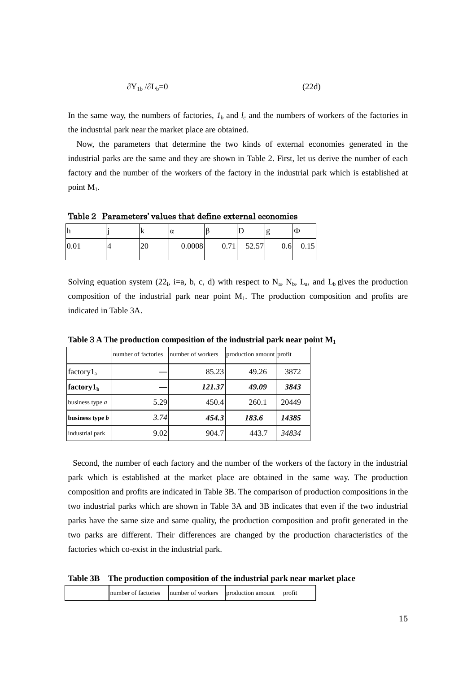$$
\partial Y_{1b} / \partial L_b = 0 \tag{22d}
$$

In the same way, the numbers of factories,  $I_b$  and  $I_c$  and the numbers of workers of the factories in the industrial park near the market place are obtained.

Now, the parameters that determine the two kinds of external economies generated in the industrial parks are the same and they are shown in Table 2. First, let us derive the number of each factory and the number of the workers of the factory in the industrial park which is established at point  $M_1$ .

Table2 Parameters' values that define external economies

| .    | л  | $\sim$<br>u |      | L     | 8    | IФ   |
|------|----|-------------|------|-------|------|------|
| 0.01 | ∠∪ | 0.0008      | 0.71 | 52.57 | 0.61 | 0.15 |

Solving equation system (22<sub>i</sub>, i=a, b, c, d) with respect to  $N_a$ ,  $N_b$ ,  $L_a$ , and  $L_b$  gives the production composition of the industrial park near point  $M_1$ . The production composition and profits are indicated in Table 3A.

|                        | number of factories | number of workers | production amount profit |       |
|------------------------|---------------------|-------------------|--------------------------|-------|
| factory $l_a$          |                     | 85.23             | 49.26                    | 3872  |
| factory $1b$           |                     | 121.37            | 49.09                    | 3843  |
| business type $a$      | 5.29                | 450.4             | 260.1                    | 20449 |
| business type <i>b</i> | 3.74                | 454.3             | 183.6                    | 14385 |
| industrial park        | 9.02                | 904.7             | 443.7                    | 34834 |

**Table**3**A The production composition of the industrial park near point M<sup>1</sup>**

Second, the number of each factory and the number of the workers of the factory in the industrial park which is established at the market place are obtained in the same way. The production composition and profits are indicated in Table 3B. The comparison of production compositions in the two industrial parks which are shown in Table 3A and 3B indicates that even if the two industrial parks have the same size and same quality, the production composition and profit generated in the two parks are different. Their differences are changed by the production characteristics of the factories which co-exist in the industrial park.

**Table 3B The production composition of the industrial park near market place**

| number of factories<br>number of workers production amount<br>profit |
|----------------------------------------------------------------------|
|----------------------------------------------------------------------|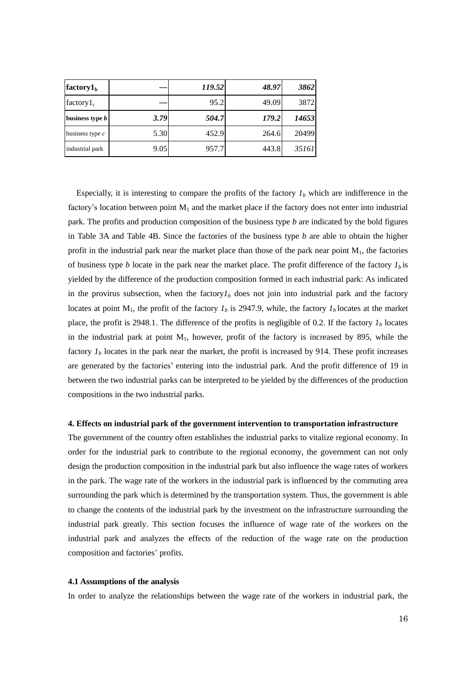| factory $1b$           |      | 119.52 | 48.97 | 3862  |
|------------------------|------|--------|-------|-------|
| factory $1_c$          |      | 95.2   | 49.09 | 3872  |
| business type <i>b</i> | 3.79 | 504.7  | 179.2 | 14653 |
| business type $c$      | 5.30 | 452.9  | 264.6 | 20499 |
| industrial park        | 9.05 | 957.7  | 443.8 | 35161 |

Especially, it is interesting to compare the profits of the factory  $I<sub>b</sub>$  which are indifference in the factory's location between point  $M_1$  and the market place if the factory does not enter into industrial park. The profits and production composition of the business type *b* are indicated by the bold figures in Table 3A and Table 4B. Since the factories of the business type *b* are able to obtain the higher profit in the industrial park near the market place than those of the park near point  $M_1$ , the factories of business type *b* locate in the park near the market place. The profit difference of the factory *1<sup>b</sup>* is yielded by the difference of the production composition formed in each industrial park: As indicated in the provirus subsection, when the factory $I<sub>b</sub>$  does not join into industrial park and the factory locates at point  $M_1$ , the profit of the factory  $I_b$  is 2947.9, while, the factory  $I_b$  locates at the market place, the profit is 2948.1. The difference of the profits is negligible of 0.2. If the factory  $I<sub>b</sub>$  locates in the industrial park at point  $M_1$ , however, profit of the factory is increased by 895, while the factory  $I<sub>b</sub>$  locates in the park near the market, the profit is increased by 914. These profit increases are generated by the factories' entering into the industrial park. And the profit difference of 19 in between the two industrial parks can be interpreted to be yielded by the differences of the production compositions in the two industrial parks.

### **4. Effects on industrial park of the government intervention to transportation infrastructure**

The government of the country often establishes the industrial parks to vitalize regional economy. In order for the industrial park to contribute to the regional economy, the government can not only design the production composition in the industrial park but also influence the wage rates of workers in the park. The wage rate of the workers in the industrial park is influenced by the commuting area surrounding the park which is determined by the transportation system. Thus, the government is able to change the contents of the industrial park by the investment on the infrastructure surrounding the industrial park greatly. This section focuses the influence of wage rate of the workers on the industrial park and analyzes the effects of the reduction of the wage rate on the production composition and factories' profits.

## **4.1 Assumptions of the analysis**

In order to analyze the relationships between the wage rate of the workers in industrial park, the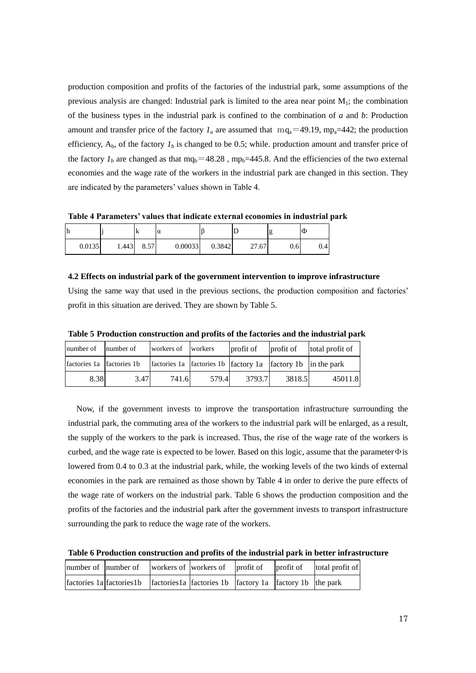production composition and profits of the factories of the industrial park, some assumptions of the previous analysis are changed: Industrial park is limited to the area near point  $M_1$ ; the combination of the business types in the industrial park is confined to the combination of *a* and *b*: Production amount and transfer price of the factory  $I_a$  are assumed that  $mq_a=49.19$ ,  $mp_a=442$ ; the production efficiency,  $A_b$ , of the factory  $I_b$  is changed to be 0.5; while. production amount and transfer price of the factory  $I_b$  are changed as that mq<sub>b</sub>=48.28, mp<sub>b</sub>=445.8. And the efficiencies of the two external economies and the wage rate of the workers in the industrial park are changed in this section. They are indicated by the parameters' values shown in Table 4.

**Table 4 Parameters' values that indicate external economies in industrial park** 

| lh     |       | A    | α       |        |       | ıε   | $\Phi$ |
|--------|-------|------|---------|--------|-------|------|--------|
| 0.0135 | 1.443 | 8.57 | 0.00033 | 0.3842 | 27.67 | 0.61 | 0.4    |

**4.2 Effects on industrial park of the government intervention to improve infrastructure**

Using the same way that used in the previous sections, the production composition and factories' profit in this situation are derived. They are shown by Table 5.

| number of                 | number of | workers of workers |       | profit of                                                   | profit of | total profit of |
|---------------------------|-----------|--------------------|-------|-------------------------------------------------------------|-----------|-----------------|
| factories 1a factories 1b |           |                    |       | factories 1a factories 1b factory 1a factory 1b in the park |           |                 |
| 8.38                      | 3.47      | 741.6              | 579.4 | 3793.7                                                      | 3818.5    | 45011.8         |

Now, if the government invests to improve the transportation infrastructure surrounding the industrial park, the commuting area of the workers to the industrial park will be enlarged, as a result, the supply of the workers to the park is increased. Thus, the rise of the wage rate of the workers is curbed, and the wage rate is expected to be lower. Based on this logic, assume that the parameter $\Phi$  is lowered from 0.4 to 0.3 at the industrial park, while, the working levels of the two kinds of external economies in the park are remained as those shown by Table 4 in order to derive the pure effects of the wage rate of workers on the industrial park. Table 6 shows the production composition and the profits of the factories and the industrial park after the government invests to transport infrastructure surrounding the park to reduce the wage rate of the workers.

**Table 6 Production construction and profits of the industrial park in better infrastructure**

|                                                                                                                 |  |  | number of number of workers of workers of profit of profit of total profit of |
|-----------------------------------------------------------------------------------------------------------------|--|--|-------------------------------------------------------------------------------|
| $\int$ factories 1a $\int$ factories 1b $\int$ factories 1b $\int$ factory 1a $\int$ factory 1b $\int$ the park |  |  |                                                                               |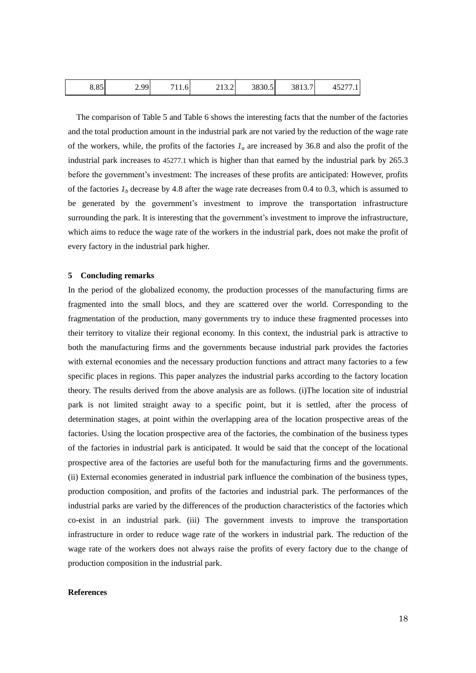| $\sim$ 05<br>ده.ه | ו סם ל<br>$\sqrt{2}$ | - - -<br>11.6 | $\sim$ $\sim$ $\sim$<br>213.2 | 3830.5 | 3813.7 | $1 - \sim -$<br>$\sim$<br>$\Lambda$ $\sim$<br>᠇ᢣ᠘<br>$\cdot$ . |
|-------------------|----------------------|---------------|-------------------------------|--------|--------|----------------------------------------------------------------|
|-------------------|----------------------|---------------|-------------------------------|--------|--------|----------------------------------------------------------------|

The comparison of Table 5 and Table 6 shows the interesting facts that the number of the factories and the total production amount in the industrial park are not varied by the reduction of the wage rate of the workers, while, the profits of the factories  $I_a$  are increased by 36.8 and also the profit of the industrial park increases to 45277.1 which is higher than that earned by the industrial park by 265.3 before the government's investment: The increases of these profits are anticipated: However, profits of the factories  $I<sub>b</sub>$  decrease by 4.8 after the wage rate decreases from 0.4 to 0.3, which is assumed to be generated by the government's investment to improve the transportation infrastructure surrounding the park. It is interesting that the government's investment to improve the infrastructure, which aims to reduce the wage rate of the workers in the industrial park, does not make the profit of every factory in the industrial park higher.

#### **5 Concluding remarks**

In the period of the globalized economy, the production processes of the manufacturing firms are fragmented into the small blocs, and they are scattered over the world. Corresponding to the fragmentation of the production, many governments try to induce these fragmented processes into their territory to vitalize their regional economy. In this context, the industrial park is attractive to both the manufacturing firms and the governments because industrial park provides the factories with external economies and the necessary production functions and attract many factories to a few specific places in regions. This paper analyzes the industrial parks according to the factory location theory. The results derived from the above analysis are as follows. (i)The location site of industrial park is not limited straight away to a specific point, but it is settled, after the process of determination stages, at point within the overlapping area of the location prospective areas of the factories. Using the location prospective area of the factories, the combination of the business types of the factories in industrial park is anticipated. It would be said that the concept of the locational prospective area of the factories are useful both for the manufacturing firms and the governments. (ii) External economies generated in industrial park influence the combination of the business types, production composition, and profits of the factories and industrial park. The performances of the industrial parks are varied by the differences of the production characteristics of the factories which co-exist in an industrial park. (iii) The government invests to improve the transportation infrastructure in order to reduce wage rate of the workers in industrial park. The reduction of the wage rate of the workers does not always raise the profits of every factory due to the change of production composition in the industrial park.

#### **References**